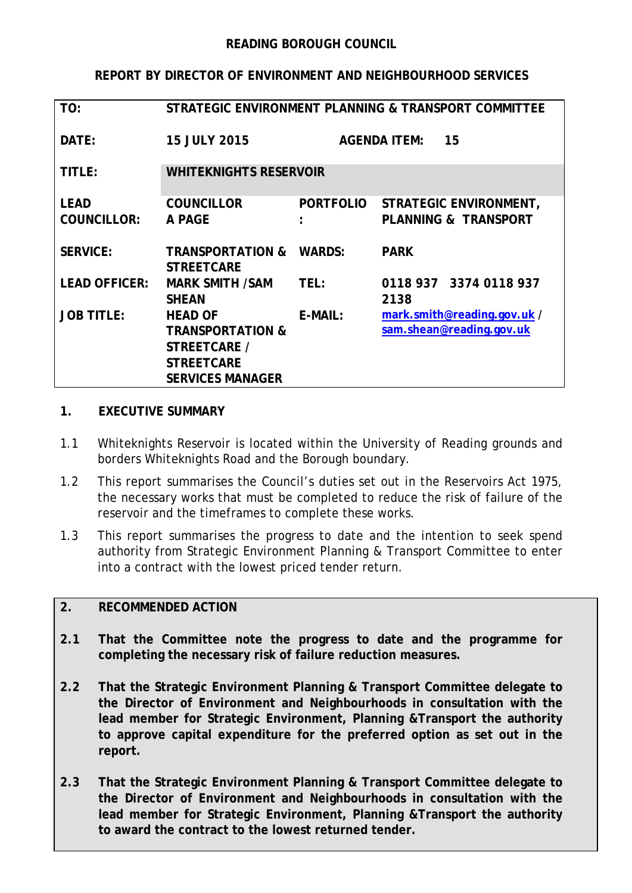## **REPORT BY DIRECTOR OF ENVIRONMENT AND NEIGHBOURHOOD SERVICES**

| TO:                  | STRATEGIC ENVIRONMENT PLANNING & TRANSPORT COMMITTEE |                  |                                 |
|----------------------|------------------------------------------------------|------------------|---------------------------------|
| DATE:                | <b>15 JULY 2015</b>                                  |                  | <b>AGENDA ITEM:</b><br>15       |
| TITLE:               | <b>WHITEKNIGHTS RESERVOIR</b>                        |                  |                                 |
| <b>LEAD</b>          | <b>COUNCILLOR</b>                                    | <b>PORTFOLIO</b> | STRATEGIC ENVIRONMENT,          |
| <b>COUNCILLOR:</b>   | A PAGE                                               |                  | <b>PLANNING &amp; TRANSPORT</b> |
| <b>SERVICE:</b>      | <b>TRANSPORTATION &amp;</b><br><b>STREETCARE</b>     | <b>WARDS:</b>    | <b>PARK</b>                     |
| <b>LEAD OFFICER:</b> | <b>MARK SMITH /SAM</b>                               | TEL:             | 0118 937 3374 0118 937          |
|                      | <b>SHEAN</b>                                         |                  | 2138                            |
| <b>JOB TITLE:</b>    | <b>HEAD OF</b>                                       | $E-MAIL:$        | mark.smith@reading.gov.uk /     |
|                      | <b>TRANSPORTATION &amp;</b>                          |                  | sam.shean@reading.gov.uk        |
|                      | STREETCARE /                                         |                  |                                 |
|                      | <b>STREETCARE</b>                                    |                  |                                 |
|                      | <b>SERVICES MANAGER</b>                              |                  |                                 |

### **1. EXECUTIVE SUMMARY**

- 1.1 Whiteknights Reservoir is located within the University of Reading grounds and borders Whiteknights Road and the Borough boundary.
- 1.2 This report summarises the Council's duties set out in the Reservoirs Act 1975, the necessary works that must be completed to reduce the risk of failure of the reservoir and the timeframes to complete these works.
- 1.3 This report summarises the progress to date and the intention to seek spend authority from Strategic Environment Planning & Transport Committee to enter into a contract with the lowest priced tender return.

### **2. RECOMMENDED ACTION**

- **2.1 That the Committee note the progress to date and the programme for completing the necessary risk of failure reduction measures.**
- **2.2 That the Strategic Environment Planning & Transport Committee delegate to the Director of Environment and Neighbourhoods in consultation with the lead member for Strategic Environment, Planning &Transport the authority to approve capital expenditure for the preferred option as set out in the report.**
- **2.3 That the Strategic Environment Planning & Transport Committee delegate to the Director of Environment and Neighbourhoods in consultation with the lead member for Strategic Environment, Planning &Transport the authority to award the contract to the lowest returned tender.**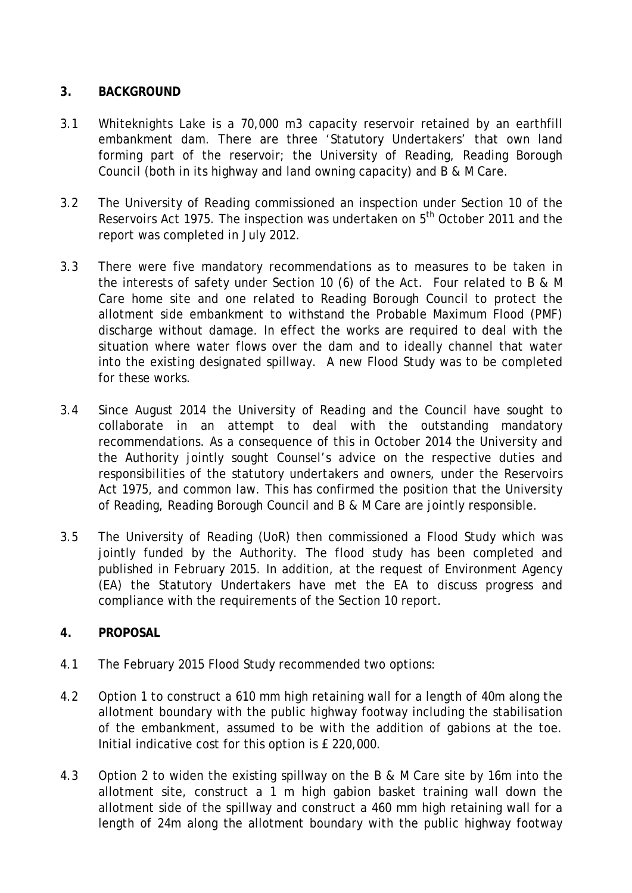## **3. BACKGROUND**

- 3.1 Whiteknights Lake is a 70,000 m3 capacity reservoir retained by an earthfill embankment dam. There are three 'Statutory Undertakers' that own land forming part of the reservoir; the University of Reading, Reading Borough Council (both in its highway and land owning capacity) and B & M Care.
- 3.2 The University of Reading commissioned an inspection under Section 10 of the Reservoirs Act 1975. The inspection was undertaken on 5<sup>th</sup> October 2011 and the report was completed in July 2012.
- 3.3 There were five mandatory recommendations as to measures to be taken in the interests of safety under Section 10 (6) of the Act. Four related to B & M Care home site and one related to Reading Borough Council to protect the allotment side embankment to withstand the Probable Maximum Flood (PMF) discharge without damage. In effect the works are required to deal with the situation where water flows over the dam and to ideally channel that water into the existing designated spillway. A new Flood Study was to be completed for these works.
- 3.4 Since August 2014 the University of Reading and the Council have sought to collaborate in an attempt to deal with the outstanding mandatory recommendations. As a consequence of this in October 2014 the University and the Authority jointly sought Counsel's advice on the respective duties and responsibilities of the statutory undertakers and owners, under the Reservoirs Act 1975, and common law. This has confirmed the position that the University of Reading, Reading Borough Council and B & M Care are jointly responsible.
- 3.5 The University of Reading (UoR) then commissioned a Flood Study which was jointly funded by the Authority. The flood study has been completed and published in February 2015. In addition, at the request of Environment Agency (EA) the Statutory Undertakers have met the EA to discuss progress and compliance with the requirements of the Section 10 report.

# **4. PROPOSAL**

- 4.1 The February 2015 Flood Study recommended two options:
- 4.2 Option 1 to construct a 610 mm high retaining wall for a length of 40m along the allotment boundary with the public highway footway including the stabilisation of the embankment, assumed to be with the addition of gabions at the toe. Initial indicative cost for this option is £ 220,000.
- 4.3 Option 2 to widen the existing spillway on the B & M Care site by 16m into the allotment site, construct a 1 m high gabion basket training wall down the allotment side of the spillway and construct a 460 mm high retaining wall for a length of 24m along the allotment boundary with the public highway footway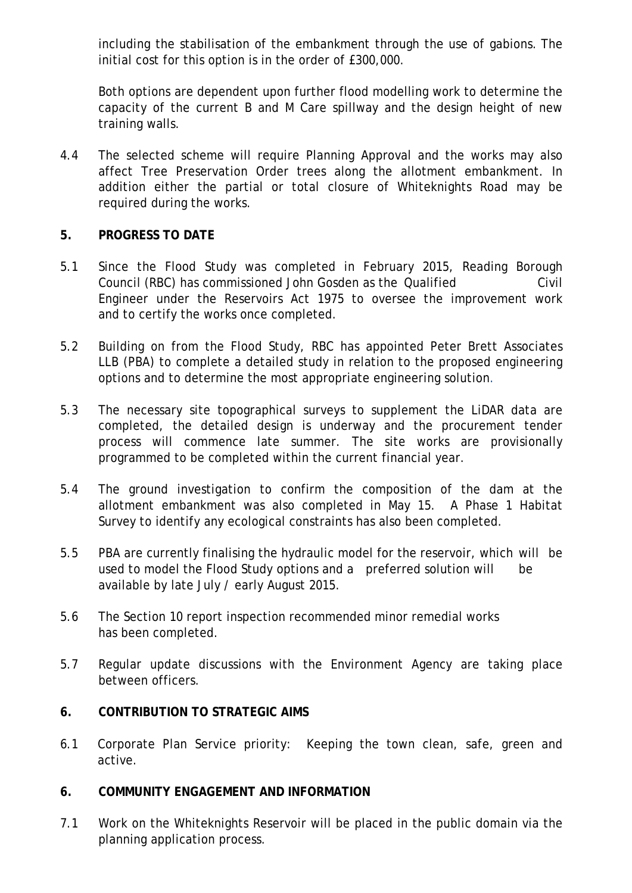including the stabilisation of the embankment through the use of gabions. The initial cost for this option is in the order of £300,000.

Both options are dependent upon further flood modelling work to determine the capacity of the current B and M Care spillway and the design height of new training walls.

4.4 The selected scheme will require Planning Approval and the works may also affect Tree Preservation Order trees along the allotment embankment. In addition either the partial or total closure of Whiteknights Road may be required during the works.

# **5. PROGRESS TO DATE**

- 5.1 Since the Flood Study was completed in February 2015, Reading Borough Council (RBC) has commissioned John Gosden as the Qualified Civil Engineer under the Reservoirs Act 1975 to oversee the improvement work and to certify the works once completed.
- 5.2 Building on from the Flood Study, RBC has appointed Peter Brett Associates LLB (PBA) to complete a detailed study in relation to the proposed engineering options and to determine the most appropriate engineering solution*.*
- 5.3 The necessary site topographical surveys to supplement the LiDAR data are completed, the detailed design is underway and the procurement tender process will commence late summer. The site works are provisionally programmed to be completed within the current financial year.
- 5.4 The ground investigation to confirm the composition of the dam at the allotment embankment was also completed in May 15. A Phase 1 Habitat Survey to identify any ecological constraints has also been completed.
- 5.5 PBA are currently finalising the hydraulic model for the reservoir, which will be used to model the Flood Study options and a preferred solution will be available by late July / early August 2015.
- 5.6 The Section 10 report inspection recommended minor remedial works has been completed.
- 5.7 Regular update discussions with the Environment Agency are taking place between officers.

### **6. CONTRIBUTION TO STRATEGIC AIMS**

6.1 Corporate Plan Service priority: Keeping the town clean, safe, green and active.

### **6. COMMUNITY ENGAGEMENT AND INFORMATION**

7.1 Work on the Whiteknights Reservoir will be placed in the public domain via the planning application process.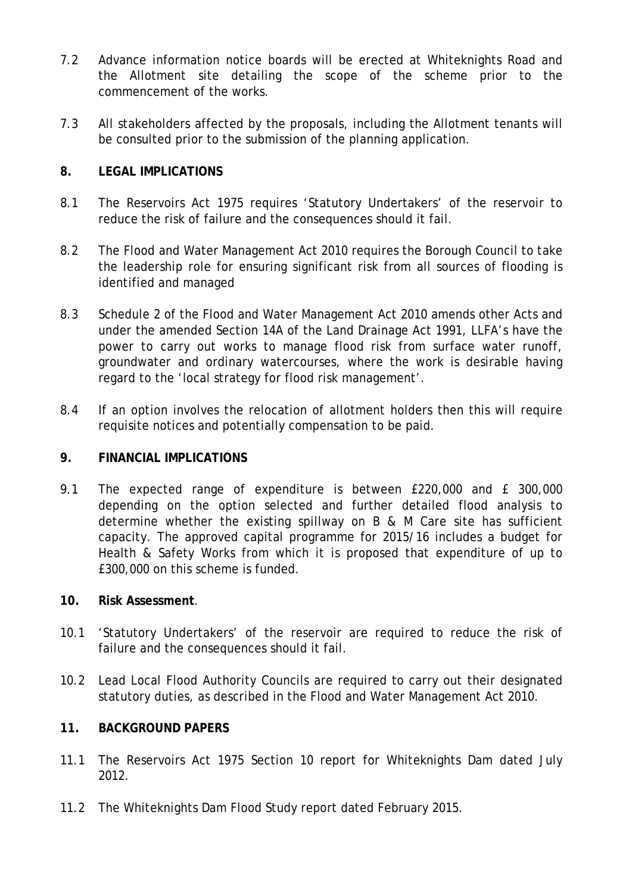- 7.2 Advance information notice boards will be erected at Whiteknights Road and the Allotment site detailing the scope of the scheme prior to the commencement of the works.
- 7.3 All stakeholders affected by the proposals, including the Allotment tenants will be consulted prior to the submission of the planning application.

#### **8. LEGAL IMPLICATIONS**

- 8.1 The Reservoirs Act 1975 requires 'Statutory Undertakers' of the reservoir to reduce the risk of failure and the consequences should it fail.
- 8.2 The Flood and Water Management Act 2010 requires the Borough Council to take the leadership role for ensuring significant risk from all sources of flooding is identified and managed
- 8.3 Schedule 2 of the Flood and Water Management Act 2010 amends other Acts and under the amended Section 14A of the Land Drainage Act 1991, LLFA's have the power to carry out works to manage flood risk from surface water runoff, groundwater and ordinary watercourses, where the work is desirable having regard to the 'local strategy for flood risk management'.
- 8.4 If an option involves the relocation of allotment holders then this will require requisite notices and potentially compensation to be paid.

#### **9. FINANCIAL IMPLICATIONS**

9.1 The expected range of expenditure is between £220,000 and £ 300,000 depending on the option selected and further detailed flood analysis to determine whether the existing spillway on B & M Care site has sufficient capacity. The approved capital programme for 2015/16 includes a budget for Health & Safety Works from which it is proposed that expenditure of up to £300,000 on this scheme is funded.

#### **10. Risk Assessment**.

- 10.1 'Statutory Undertakers' of the reservoir are required to reduce the risk of failure and the consequences should it fail.
- 10.2 Lead Local Flood Authority Councils are required to carry out their designated statutory duties, as described in the Flood and Water Management Act 2010.

### **11. BACKGROUND PAPERS**

- 11.1 The Reservoirs Act 1975 Section 10 report for Whiteknights Dam dated July 2012.
- 11.2 The Whiteknights Dam Flood Study report dated February 2015.